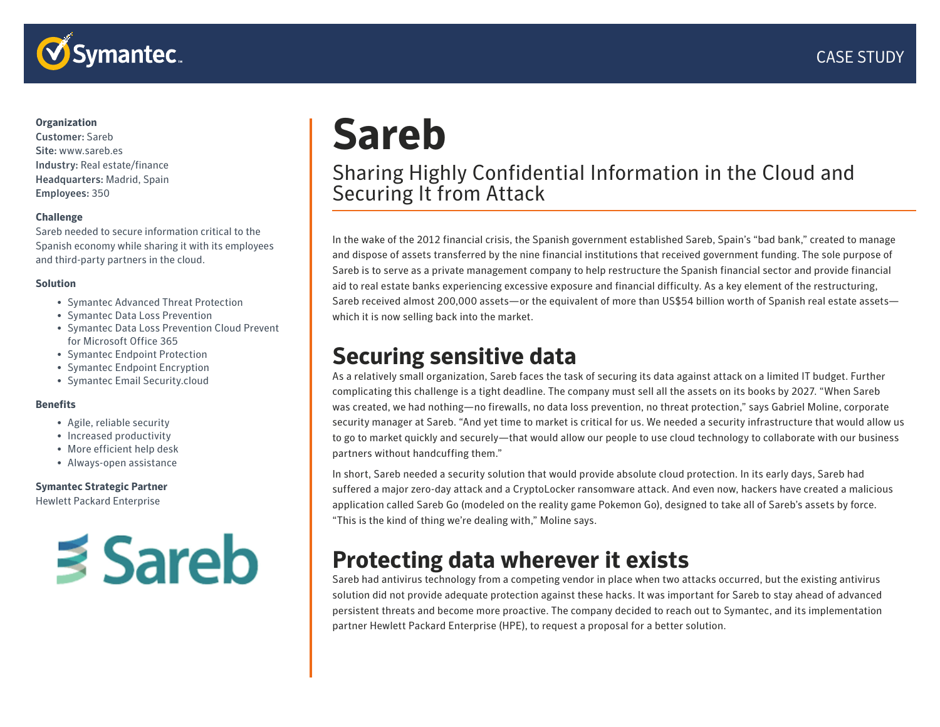

### **Organization**

Customer: Sareb Site: www.sareb.es Industry: Real estate/finance Headquarters: Madrid, Spain Employees: 350

#### **Challenge**

Sareb needed to secure information critical to the Spanish economy while sharing it with its employees and third-party partners in the cloud.

#### **Solution**

- Symantec Advanced Threat Protection
- Symantec Data Loss Prevention
- Symantec Data Loss Prevention Cloud Prevent for Microsoft Office 365
- Symantec Endpoint Protection
- Symantec Endpoint Encryption
- Symantec Email Security.cloud

### **Benefits**

- Agile, reliable security
- Increased productivity
- More efficient help desk
- Always-open assistance

### **Symantec Strategic Partner**

Hewlett Packard Enterprise



# **Sareb**

### Sharing Highly Confidential Information in the Cloud and Securing It from Attack

In the wake of the 2012 financial crisis, the Spanish government established Sareb, Spain's "bad bank," created to manage and dispose of assets transferred by the nine financial institutions that received government funding. The sole purpose of Sareb is to serve as a private management company to help restructure the Spanish financial sector and provide financial aid to real estate banks experiencing excessive exposure and financial difficulty. As a key element of the restructuring, Sareb received almost 200,000 assets—or the equivalent of more than US\$54 billion worth of Spanish real estate assets which it is now selling back into the market.

### **Securing sensitive data**

As a relatively small organization, Sareb faces the task of securing its data against attack on a limited IT budget. Further complicating this challenge is a tight deadline. The company must sell all the assets on its books by 2027. "When Sareb was created, we had nothing—no firewalls, no data loss prevention, no threat protection," says Gabriel Moline, corporate security manager at Sareb. "And yet time to market is critical for us. We needed a security infrastructure that would allow us to go to market quickly and securely—that would allow our people to use cloud technology to collaborate with our business partners without handcuffing them."

In short, Sareb needed a security solution that would provide absolute cloud protection. In its early days, Sareb had suffered a major zero-day attack and a CryptoLocker ransomware attack. And even now, hackers have created a malicious application called Sareb Go (modeled on the reality game Pokemon Go), designed to take all of Sareb's assets by force. "This is the kind of thing we're dealing with," Moline says.

## **Protecting data wherever it exists**

Sareb had antivirus technology from a competing vendor in place when two attacks occurred, but the existing antivirus solution did not provide adequate protection against these hacks. It was important for Sareb to stay ahead of advanced persistent threats and become more proactive. The company decided to reach out to Symantec, and its implementation partner Hewlett Packard Enterprise (HPE), to request a proposal for a better solution.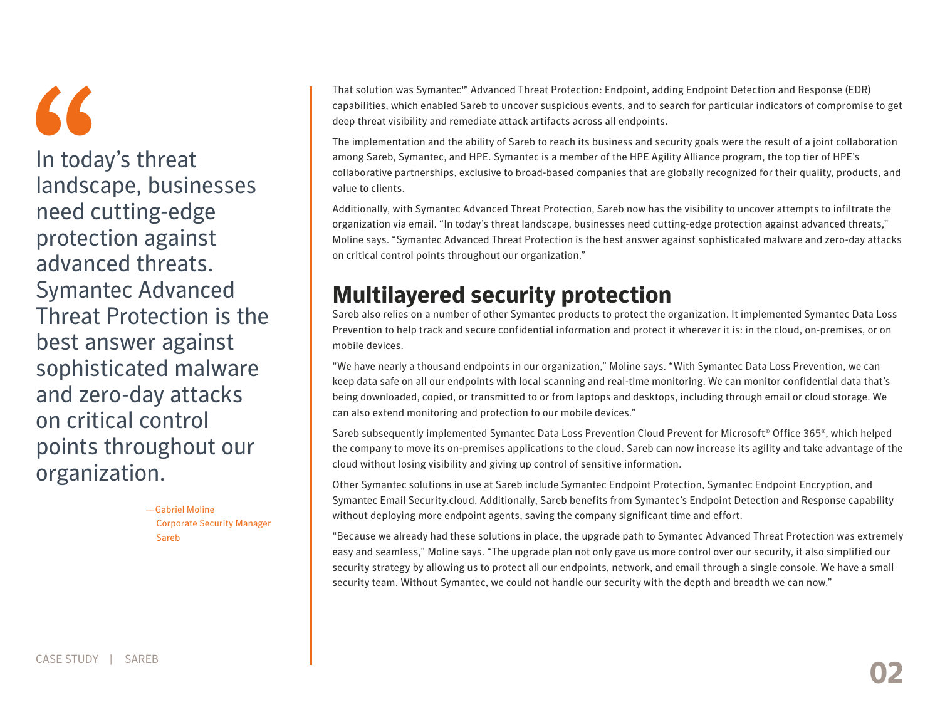$\blacksquare$ 

In today's threat landscape, businesses need cutting-edge protection against advanced threats. Symantec Advanced Threat Protection is the best answer against sophisticated malware and zero-day attacks on critical control points throughout our organization.

> —Gabriel Moline Corporate Security Manager Sareb

That solution was Symantec™ Advanced Threat Protection: Endpoint, adding Endpoint Detection and Response (EDR) capabilities, which enabled Sareb to uncover suspicious events, and to search for particular indicators of compromise to get deep threat visibility and remediate attack artifacts across all endpoints.

The implementation and the ability of Sareb to reach its business and security goals were the result of a joint collaboration among Sareb, Symantec, and HPE. Symantec is a member of the HPE Agility Alliance program, the top tier of HPE's collaborative partnerships, exclusive to broad-based companies that are globally recognized for their quality, products, and value to clients.

Additionally, with Symantec Advanced Threat Protection, Sareb now has the visibility to uncover attempts to infiltrate the organization via email. "In today's threat landscape, businesses need cutting-edge protection against advanced threats," Moline says. "Symantec Advanced Threat Protection is the best answer against sophisticated malware and zero-day attacks on critical control points throughout our organization."

# **Multilayered security protection**

Sareb also relies on a number of other Symantec products to protect the organization. It implemented Symantec Data Loss Prevention to help track and secure confidential information and protect it wherever it is: in the cloud, on-premises, or on mobile devices.

"We have nearly a thousand endpoints in our organization," Moline says. "With Symantec Data Loss Prevention, we can keep data safe on all our endpoints with local scanning and real-time monitoring. We can monitor confidential data that's being downloaded, copied, or transmitted to or from laptops and desktops, including through email or cloud storage. We can also extend monitoring and protection to our mobile devices."

Sareb subsequently implemented Symantec Data Loss Prevention Cloud Prevent for Microsoft® Office 365®, which helped the company to move its on-premises applications to the cloud. Sareb can now increase its agility and take advantage of the cloud without losing visibility and giving up control of sensitive information.

Other Symantec solutions in use at Sareb include Symantec Endpoint Protection, Symantec Endpoint Encryption, and Symantec Email Security.cloud. Additionally, Sareb benefits from Symantec's Endpoint Detection and Response capability without deploying more endpoint agents, saving the company significant time and effort.

"Because we already had these solutions in place, the upgrade path to Symantec Advanced Threat Protection was extremely easy and seamless," Moline says. "The upgrade plan not only gave us more control over our security, it also simplified our security strategy by allowing us to protect all our endpoints, network, and email through a single console. We have a small security team. Without Symantec, we could not handle our security with the depth and breadth we can now."